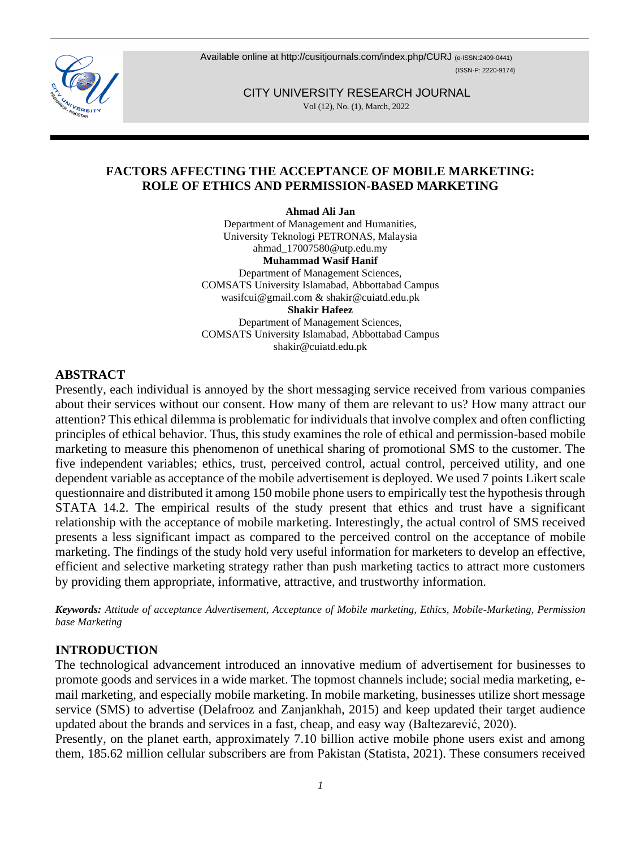Available online at http://cusitiournals.com/index.php/CURJ (e-ISSN:2409-0441) (ISSN-P: 2220-9174)

> CITY UNIVERSITY RESEARCH JOURNAL Vol (12), No. (1), March, 2022

## **FACTORS AFFECTING THE ACCEPTANCE OF MOBILE MARKETING: ROLE OF ETHICS AND PERMISSION-BASED MARKETING**

**Ahmad Ali Jan**

Department of Management and Humanities, University Teknologi PETRONAS, Malaysia ahmad\_17007580@utp.edu.my **Muhammad Wasif Hanif** Department of Management Sciences, COMSATS University Islamabad, Abbottabad Campus wasifcui@gmail.com & shakir@cuiatd.edu.pk **Shakir Hafeez** Department of Management Sciences, COMSATS University Islamabad, Abbottabad Campus

shakir@cuiatd.edu.pk

### **ABSTRACT**

Presently, each individual is annoyed by the short messaging service received from various companies about their services without our consent. How many of them are relevant to us? How many attract our attention? This ethical dilemma is problematic for individuals that involve complex and often conflicting principles of ethical behavior. Thus, this study examines the role of ethical and permission-based mobile marketing to measure this phenomenon of unethical sharing of promotional SMS to the customer. The five independent variables; ethics, trust, perceived control, actual control, perceived utility, and one dependent variable as acceptance of the mobile advertisement is deployed. We used 7 points Likert scale questionnaire and distributed it among 150 mobile phone users to empirically test the hypothesis through STATA 14.2. The empirical results of the study present that ethics and trust have a significant relationship with the acceptance of mobile marketing. Interestingly, the actual control of SMS received presents a less significant impact as compared to the perceived control on the acceptance of mobile marketing. The findings of the study hold very useful information for marketers to develop an effective, efficient and selective marketing strategy rather than push marketing tactics to attract more customers by providing them appropriate, informative, attractive, and trustworthy information.

*Keywords: Attitude of acceptance Advertisement, Acceptance of Mobile marketing, Ethics, Mobile-Marketing, Permission base Marketing*

### **INTRODUCTION**

The technological advancement introduced an innovative medium of advertisement for businesses to promote goods and services in a wide market. The topmost channels include; social media marketing, email marketing, and especially mobile marketing. In mobile marketing, businesses utilize short message service (SMS) to advertise (Delafrooz and Zanjankhah, 2015) and keep updated their target audience updated about the brands and services in a fast, cheap, and easy way (Baltezarević, 2020).

Presently, on the planet earth, approximately 7.10 billion active mobile phone users exist and among them, 185.62 million cellular subscribers are from Pakistan (Statista, 2021). These consumers received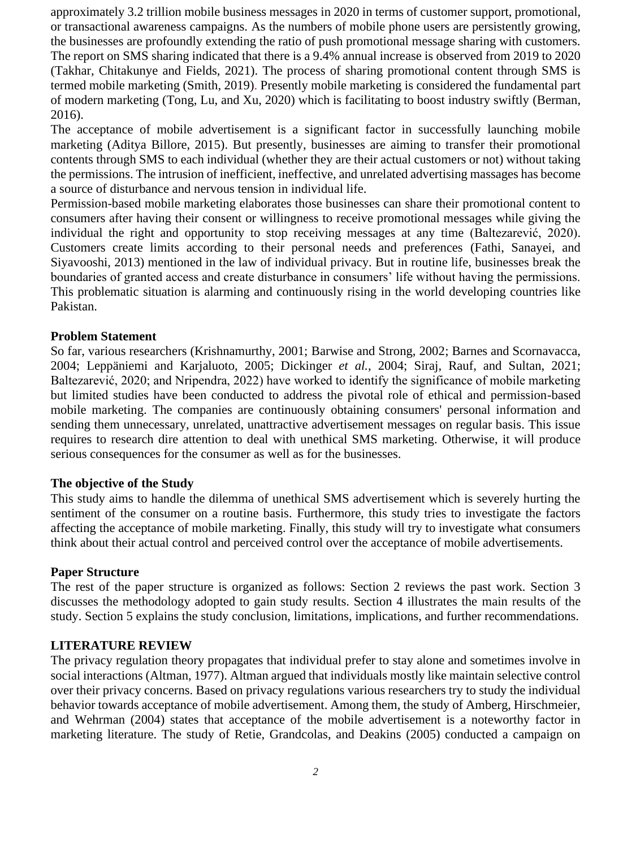approximately 3.2 trillion mobile business messages in 2020 in terms of customer support, promotional, or transactional awareness campaigns. As the numbers of mobile phone users are persistently growing, the businesses are profoundly extending the ratio of push promotional message sharing with customers. The report on SMS sharing indicated that there is a 9.4% annual increase is observed from 2019 to 2020 (Takhar, Chitakunye and Fields, 2021). The process of sharing promotional content through SMS is termed mobile marketing (Smith, 2019). Presently mobile marketing is considered the fundamental part of modern marketing (Tong, Lu, and Xu, 2020) which is facilitating to boost industry swiftly (Berman, 2016).

The acceptance of mobile advertisement is a significant factor in successfully launching mobile marketing (Aditya Billore, 2015). But presently, businesses are aiming to transfer their promotional contents through SMS to each individual (whether they are their actual customers or not) without taking the permissions. The intrusion of inefficient, ineffective, and unrelated advertising massages has become a source of disturbance and nervous tension in individual life.

Permission-based mobile marketing elaborates those businesses can share their promotional content to consumers after having their consent or willingness to receive promotional messages while giving the individual the right and opportunity to stop receiving messages at any time (Baltezarević, 2020). Customers create limits according to their personal needs and preferences (Fathi, Sanayei, and Siyavooshi, 2013) mentioned in the law of individual privacy. But in routine life, businesses break the boundaries of granted access and create disturbance in consumers' life without having the permissions. This problematic situation is alarming and continuously rising in the world developing countries like Pakistan.

### **Problem Statement**

So far, various researchers (Krishnamurthy, 2001; Barwise and Strong, 2002; Barnes and Scornavacca, 2004; Leppäniemi and Karjaluoto, 2005; Dickinger *et al.*, 2004; Siraj, Rauf, and Sultan, 2021; Baltezarević, 2020; and Nripendra, 2022) have worked to identify the significance of mobile marketing but limited studies have been conducted to address the pivotal role of ethical and permission-based mobile marketing. The companies are continuously obtaining consumers' personal information and sending them unnecessary, unrelated, unattractive advertisement messages on regular basis. This issue requires to research dire attention to deal with unethical SMS marketing. Otherwise, it will produce serious consequences for the consumer as well as for the businesses.

#### **The objective of the Study**

This study aims to handle the dilemma of unethical SMS advertisement which is severely hurting the sentiment of the consumer on a routine basis. Furthermore, this study tries to investigate the factors affecting the acceptance of mobile marketing. Finally, this study will try to investigate what consumers think about their actual control and perceived control over the acceptance of mobile advertisements.

### **Paper Structure**

The rest of the paper structure is organized as follows: Section 2 reviews the past work. Section 3 discusses the methodology adopted to gain study results. Section 4 illustrates the main results of the study. Section 5 explains the study conclusion, limitations, implications, and further recommendations.

### **LITERATURE REVIEW**

The privacy regulation theory propagates that individual prefer to stay alone and sometimes involve in social interactions (Altman, 1977). Altman argued that individuals mostly like maintain selective control over their privacy concerns. Based on privacy regulations various researchers try to study the individual behavior towards acceptance of mobile advertisement. Among them, the study of Amberg, Hirschmeier, and Wehrman (2004) states that acceptance of the mobile advertisement is a noteworthy factor in marketing literature. The study of Retie, Grandcolas, and Deakins (2005) conducted a campaign on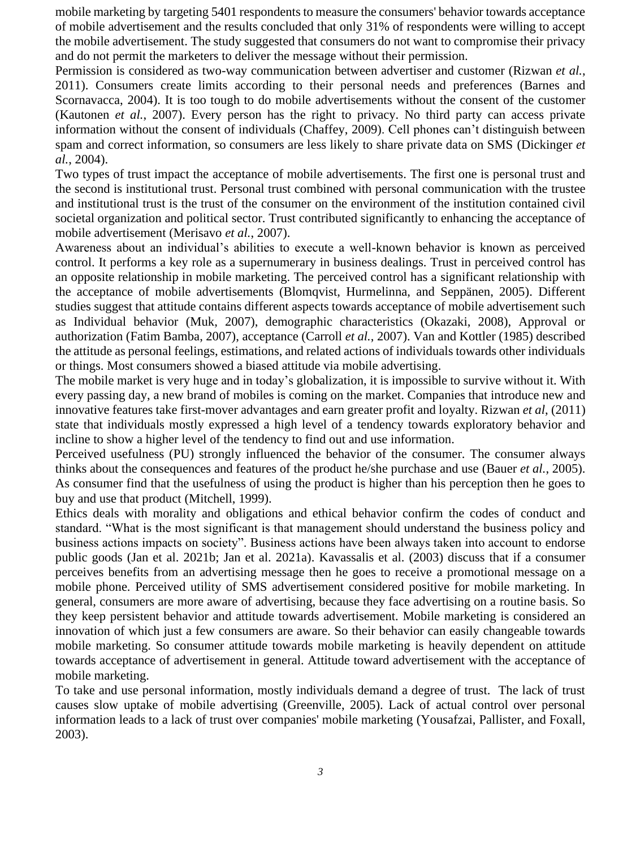mobile marketing by targeting 5401 respondents to measure the consumers' behavior towards acceptance of mobile advertisement and the results concluded that only 31% of respondents were willing to accept the mobile advertisement. The study suggested that consumers do not want to compromise their privacy and do not permit the marketers to deliver the message without their permission.

Permission is considered as two-way communication between advertiser and customer (Rizwan *et al.*, 2011). Consumers create limits according to their personal needs and preferences (Barnes and Scornavacca, 2004). It is too tough to do mobile advertisements without the consent of the customer (Kautonen *et al.*, 2007). Every person has the right to privacy. No third party can access private information without the consent of individuals (Chaffey, 2009). Cell phones can't distinguish between spam and correct information, so consumers are less likely to share private data on SMS (Dickinger *et al.*, 2004).

Two types of trust impact the acceptance of mobile advertisements. The first one is personal trust and the second is institutional trust. Personal trust combined with personal communication with the trustee and institutional trust is the trust of the consumer on the environment of the institution contained civil societal organization and political sector. Trust contributed significantly to enhancing the acceptance of mobile advertisement (Merisavo *et al.*, 2007).

Awareness about an individual's abilities to execute a well-known behavior is known as perceived control. It performs a key role as a supernumerary in business dealings. Trust in perceived control has an opposite relationship in mobile marketing. The perceived control has a significant relationship with the acceptance of mobile advertisements (Blomqvist, Hurmelinna, and Seppänen, 2005). Different studies suggest that attitude contains different aspects towards acceptance of mobile advertisement such as Individual behavior (Muk, 2007), demographic characteristics (Okazaki, 2008), Approval or authorization (Fatim Bamba, 2007), acceptance (Carroll *et al.*, 2007). Van and Kottler (1985) described the attitude as personal feelings, estimations, and related actions of individuals towards other individuals or things. Most consumers showed a biased attitude via mobile advertising.

The mobile market is very huge and in today's globalization, it is impossible to survive without it. With every passing day, a new brand of mobiles is coming on the market. Companies that introduce new and innovative features take first-mover advantages and earn greater profit and loyalty. Rizwan *et al*, (2011) state that individuals mostly expressed a high level of a tendency towards exploratory behavior and incline to show a higher level of the tendency to find out and use information.

Perceived usefulness (PU) strongly influenced the behavior of the consumer. The consumer always thinks about the consequences and features of the product he/she purchase and use (Bauer *et al.*, 2005). As consumer find that the usefulness of using the product is higher than his perception then he goes to buy and use that product (Mitchell, 1999).

Ethics deals with morality and obligations and ethical behavior confirm the codes of conduct and standard. "What is the most significant is that management should understand the business policy and business actions impacts on society". Business actions have been always taken into account to endorse public goods (Jan et al. 2021b; Jan et al. 2021a). Kavassalis et al. (2003) discuss that if a consumer perceives benefits from an advertising message then he goes to receive a promotional message on a mobile phone. Perceived utility of SMS advertisement considered positive for mobile marketing. In general, consumers are more aware of advertising, because they face advertising on a routine basis. So they keep persistent behavior and attitude towards advertisement. Mobile marketing is considered an innovation of which just a few consumers are aware. So their behavior can easily changeable towards mobile marketing. So consumer attitude towards mobile marketing is heavily dependent on attitude towards acceptance of advertisement in general. Attitude toward advertisement with the acceptance of mobile marketing.

To take and use personal information, mostly individuals demand a degree of trust. The lack of trust causes slow uptake of mobile advertising (Greenville, 2005). Lack of actual control over personal information leads to a lack of trust over companies' mobile marketing (Yousafzai, Pallister, and Foxall, 2003).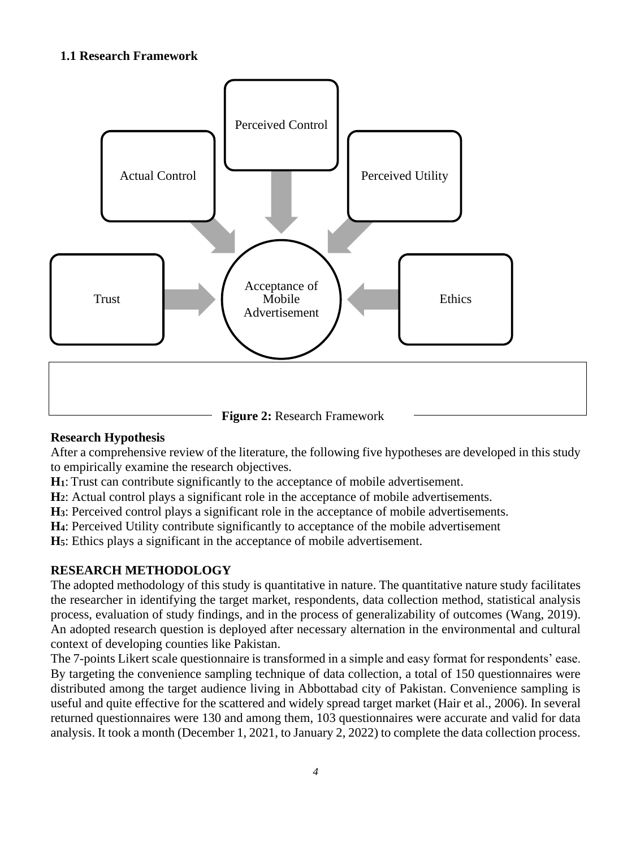# **1.1 Research Framework**



# **Research Hypothesis**

After a comprehensive review of the literature, the following five hypotheses are developed in this study to empirically examine the research objectives.

**H1**: Trust can contribute significantly to the acceptance of mobile advertisement.

**H2**: Actual control plays a significant role in the acceptance of mobile advertisements.

**H3**: Perceived control plays a significant role in the acceptance of mobile advertisements.

**H4**: Perceived Utility contribute significantly to acceptance of the mobile advertisement

**H5**: Ethics plays a significant in the acceptance of mobile advertisement.

# **RESEARCH METHODOLOGY**

The adopted methodology of this study is quantitative in nature. The quantitative nature study facilitates the researcher in identifying the target market, respondents, data collection method, statistical analysis process, evaluation of study findings, and in the process of generalizability of outcomes (Wang, 2019). An adopted research question is deployed after necessary alternation in the environmental and cultural context of developing counties like Pakistan.

The 7-points Likert scale questionnaire is transformed in a simple and easy format for respondents' ease. By targeting the convenience sampling technique of data collection, a total of 150 questionnaires were distributed among the target audience living in Abbottabad city of Pakistan. Convenience sampling is useful and quite effective for the scattered and widely spread target market (Hair et al., 2006). In several returned questionnaires were 130 and among them, 103 questionnaires were accurate and valid for data analysis. It took a month (December 1, 2021, to January 2, 2022) to complete the data collection process.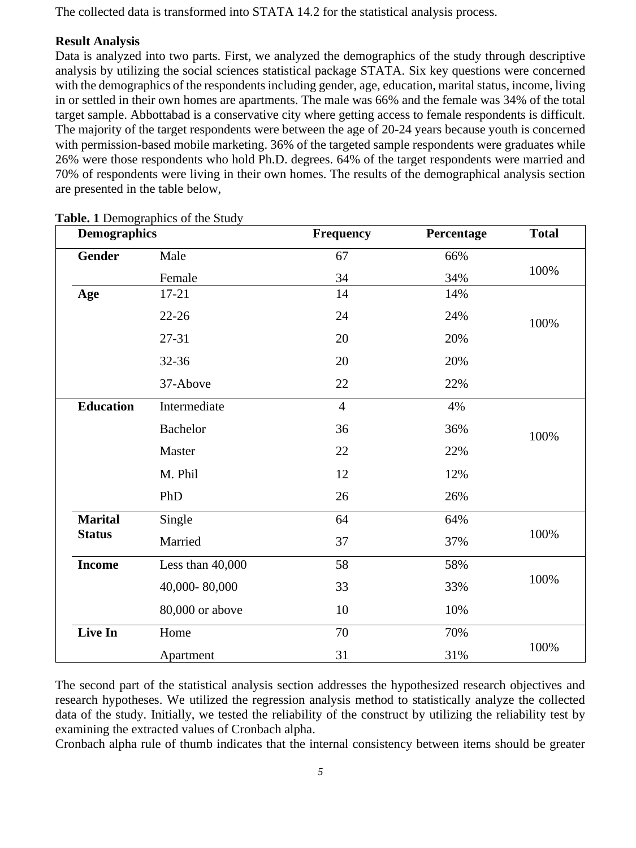The collected data is transformed into STATA 14.2 for the statistical analysis process.

# **Result Analysis**

Data is analyzed into two parts. First, we analyzed the demographics of the study through descriptive analysis by utilizing the social sciences statistical package STATA. Six key questions were concerned with the demographics of the respondents including gender, age, education, marital status, income, living in or settled in their own homes are apartments. The male was 66% and the female was 34% of the total target sample. Abbottabad is a conservative city where getting access to female respondents is difficult. The majority of the target respondents were between the age of 20-24 years because youth is concerned with permission-based mobile marketing. 36% of the targeted sample respondents were graduates while 26% were those respondents who hold Ph.D. degrees. 64% of the target respondents were married and 70% of respondents were living in their own homes. The results of the demographical analysis section are presented in the table below,

| <b>Demographics</b> |                  | Frequency      | Percentage | <b>Total</b> |  |
|---------------------|------------------|----------------|------------|--------------|--|
| <b>Gender</b>       | Male             | 67             | 66%        |              |  |
|                     | Female           | 34             | 34%        | 100%         |  |
| Age                 | $17 - 21$        | 14             | 14%        |              |  |
|                     | $22 - 26$        | 24             | 24%        | 100%         |  |
|                     | 27-31            | 20             | 20%        |              |  |
|                     | 32-36            | 20             | 20%        |              |  |
|                     | 37-Above         | 22             | 22%        |              |  |
| <b>Education</b>    | Intermediate     | $\overline{4}$ | 4%         |              |  |
|                     | <b>Bachelor</b>  | 36             | 36%        | 100%         |  |
|                     | Master           | 22             | 22%        |              |  |
|                     | M. Phil          | 12             | 12%        |              |  |
|                     | PhD              | 26             | 26%        |              |  |
| <b>Marital</b>      | Single           | 64             | 64%        | 100%         |  |
| <b>Status</b>       | Married          | 37             | 37%        |              |  |
| <b>Income</b>       | Less than 40,000 | 58             | 58%        | 100%         |  |
|                     | 40,000-80,000    | 33             | 33%        |              |  |
|                     | 80,000 or above  | 10             | 10%        |              |  |
| Live In             | Home             | 70             | 70%        |              |  |
|                     | Apartment        | 31             | 31%        | 100%         |  |

**Table. 1** Demographics of the Study

The second part of the statistical analysis section addresses the hypothesized research objectives and research hypotheses. We utilized the regression analysis method to statistically analyze the collected data of the study. Initially, we tested the reliability of the construct by utilizing the reliability test by examining the extracted values of Cronbach alpha.

Cronbach alpha rule of thumb indicates that the internal consistency between items should be greater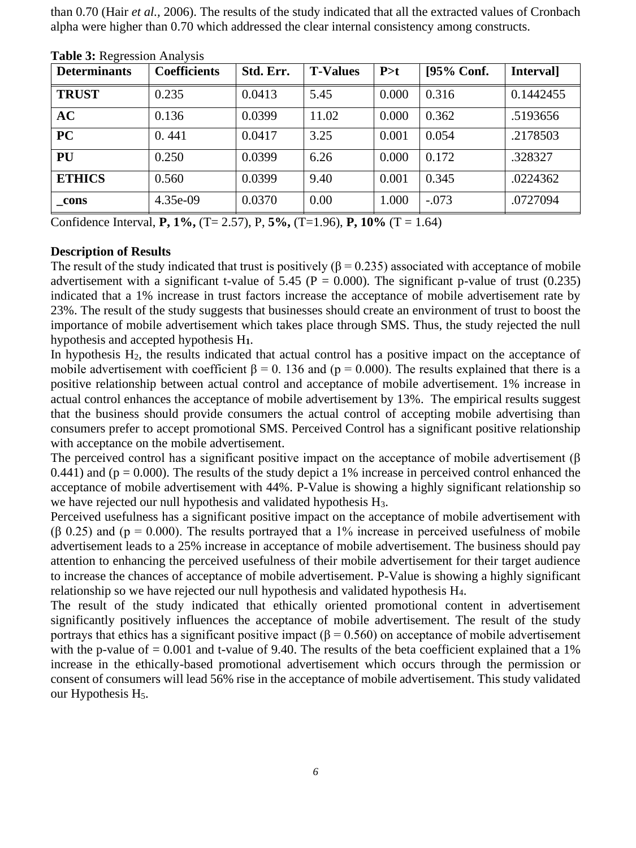than 0.70 (Hair *et al.,* 2006). The results of the study indicated that all the extracted values of Cronbach alpha were higher than 0.70 which addressed the clear internal consistency among constructs.

| <b>Determinants</b> | <b>Coefficients</b> | Std. Err. | <b>T-Values</b> | P > t | [95% Conf. | Interval] |
|---------------------|---------------------|-----------|-----------------|-------|------------|-----------|
| <b>TRUST</b>        | 0.235               | 0.0413    | 5.45            | 0.000 | 0.316      | 0.1442455 |
| AC                  | 0.136               | 0.0399    | 11.02           | 0.000 | 0.362      | .5193656  |
| <b>PC</b>           | 0.441               | 0.0417    | 3.25            | 0.001 | 0.054      | .2178503  |
| <b>PU</b>           | 0.250               | 0.0399    | 6.26            | 0.000 | 0.172      | .328327   |
| <b>ETHICS</b>       | 0.560               | 0.0399    | 9.40            | 0.001 | 0.345      | .0224362  |
| cons                | 4.35e-09            | 0.0370    | 0.00            | 1.000 | $-.073$    | .0727094  |

**Table 3:** Regression Analysis

Confidence Interval, **P, 1%,** (T= 2.57), P, **5%,** (T=1.96), **P, 10%** (T = 1.64)

### **Description of Results**

The result of the study indicated that trust is positively ( $\beta$  = 0.235) associated with acceptance of mobile advertisement with a significant t-value of 5.45 ( $P = 0.000$ ). The significant p-value of trust (0.235) indicated that a 1% increase in trust factors increase the acceptance of mobile advertisement rate by 23%. The result of the study suggests that businesses should create an environment of trust to boost the importance of mobile advertisement which takes place through SMS. Thus, the study rejected the null hypothesis and accepted hypothesis H**1**.

In hypothesis H<sub>2</sub>, the results indicated that actual control has a positive impact on the acceptance of mobile advertisement with coefficient  $\beta = 0$ . 136 and (p = 0.000). The results explained that there is a positive relationship between actual control and acceptance of mobile advertisement. 1% increase in actual control enhances the acceptance of mobile advertisement by 13%. The empirical results suggest that the business should provide consumers the actual control of accepting mobile advertising than consumers prefer to accept promotional SMS. Perceived Control has a significant positive relationship with acceptance on the mobile advertisement.

The perceived control has a significant positive impact on the acceptance of mobile advertisement (β 0.441) and ( $p = 0.000$ ). The results of the study depict a 1% increase in perceived control enhanced the acceptance of mobile advertisement with 44%. P-Value is showing a highly significant relationship so we have rejected our null hypothesis and validated hypothesis H<sub>3</sub>.

Perceived usefulness has a significant positive impact on the acceptance of mobile advertisement with  $(6, 0.25)$  and  $(p = 0.000)$ . The results portraved that a 1% increase in perceived usefulness of mobile advertisement leads to a 25% increase in acceptance of mobile advertisement. The business should pay attention to enhancing the perceived usefulness of their mobile advertisement for their target audience to increase the chances of acceptance of mobile advertisement. P-Value is showing a highly significant relationship so we have rejected our null hypothesis and validated hypothesis H4.

The result of the study indicated that ethically oriented promotional content in advertisement significantly positively influences the acceptance of mobile advertisement. The result of the study portrays that ethics has a significant positive impact ( $β = 0.560$ ) on acceptance of mobile advertisement with the p-value of  $= 0.001$  and t-value of 9.40. The results of the beta coefficient explained that a 1% increase in the ethically-based promotional advertisement which occurs through the permission or consent of consumers will lead 56% rise in the acceptance of mobile advertisement. This study validated our Hypothesis H<sub>5</sub>.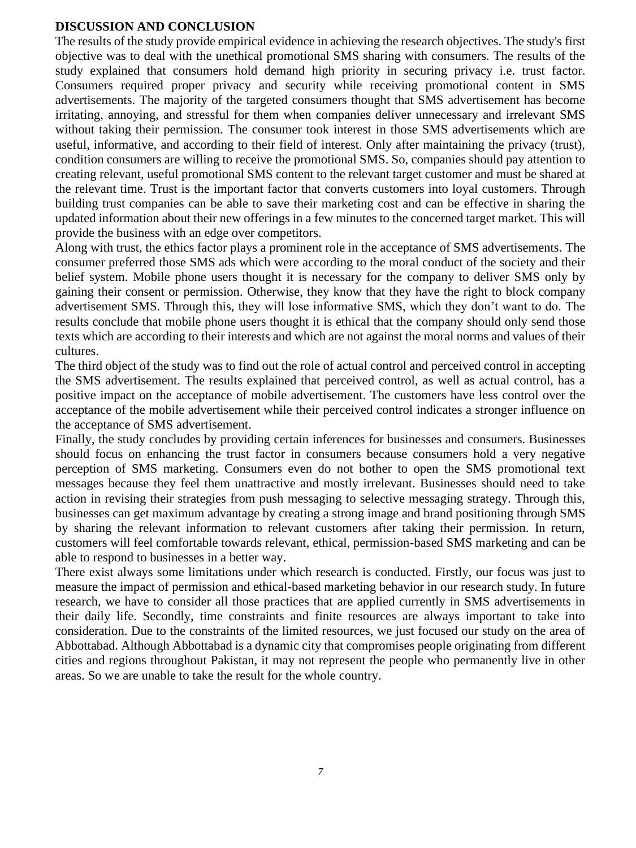### **DISCUSSION AND CONCLUSION**

The results of the study provide empirical evidence in achieving the research objectives. The study's first objective was to deal with the unethical promotional SMS sharing with consumers. The results of the study explained that consumers hold demand high priority in securing privacy i.e. trust factor. Consumers required proper privacy and security while receiving promotional content in SMS advertisements. The majority of the targeted consumers thought that SMS advertisement has become irritating, annoying, and stressful for them when companies deliver unnecessary and irrelevant SMS without taking their permission. The consumer took interest in those SMS advertisements which are useful, informative, and according to their field of interest. Only after maintaining the privacy (trust), condition consumers are willing to receive the promotional SMS. So, companies should pay attention to creating relevant, useful promotional SMS content to the relevant target customer and must be shared at the relevant time. Trust is the important factor that converts customers into loyal customers. Through building trust companies can be able to save their marketing cost and can be effective in sharing the updated information about their new offerings in a few minutes to the concerned target market. This will provide the business with an edge over competitors.

Along with trust, the ethics factor plays a prominent role in the acceptance of SMS advertisements. The consumer preferred those SMS ads which were according to the moral conduct of the society and their belief system. Mobile phone users thought it is necessary for the company to deliver SMS only by gaining their consent or permission. Otherwise, they know that they have the right to block company advertisement SMS. Through this, they will lose informative SMS, which they don't want to do. The results conclude that mobile phone users thought it is ethical that the company should only send those texts which are according to their interests and which are not against the moral norms and values of their cultures.

The third object of the study was to find out the role of actual control and perceived control in accepting the SMS advertisement. The results explained that perceived control, as well as actual control, has a positive impact on the acceptance of mobile advertisement. The customers have less control over the acceptance of the mobile advertisement while their perceived control indicates a stronger influence on the acceptance of SMS advertisement.

Finally, the study concludes by providing certain inferences for businesses and consumers. Businesses should focus on enhancing the trust factor in consumers because consumers hold a very negative perception of SMS marketing. Consumers even do not bother to open the SMS promotional text messages because they feel them unattractive and mostly irrelevant. Businesses should need to take action in revising their strategies from push messaging to selective messaging strategy. Through this, businesses can get maximum advantage by creating a strong image and brand positioning through SMS by sharing the relevant information to relevant customers after taking their permission. In return, customers will feel comfortable towards relevant, ethical, permission-based SMS marketing and can be able to respond to businesses in a better way.

There exist always some limitations under which research is conducted. Firstly, our focus was just to measure the impact of permission and ethical-based marketing behavior in our research study. In future research, we have to consider all those practices that are applied currently in SMS advertisements in their daily life. Secondly, time constraints and finite resources are always important to take into consideration. Due to the constraints of the limited resources, we just focused our study on the area of Abbottabad. Although Abbottabad is a dynamic city that compromises people originating from different cities and regions throughout Pakistan, it may not represent the people who permanently live in other areas. So we are unable to take the result for the whole country.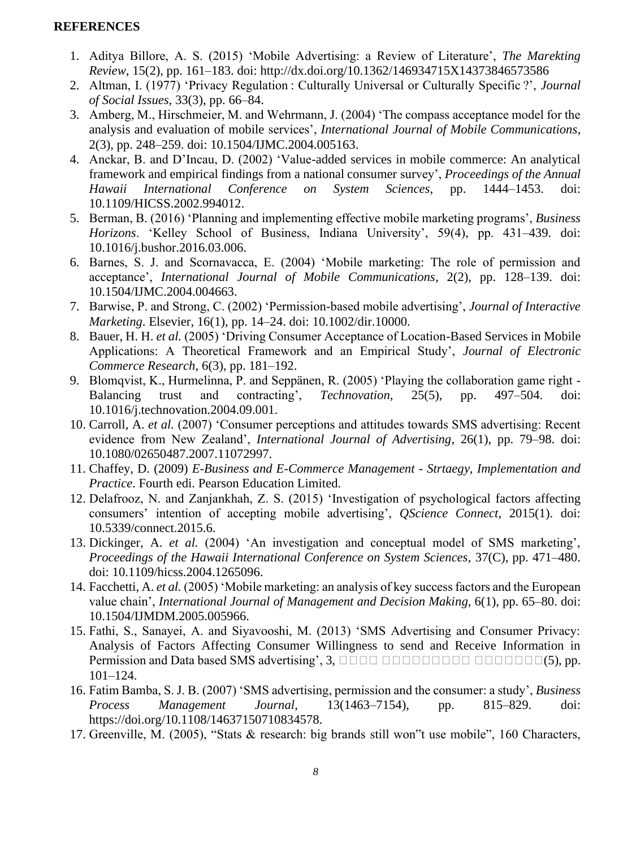# **REFERENCES**

- 1. Aditya Billore, A. S. (2015) 'Mobile Advertising: a Review of Literature', *The Marekting Review*, 15(2), pp. 161–183. doi: http://dx.doi.org/10.1362/146934715X14373846573586
- 2. Altman, I. (1977) 'Privacy Regulation : Culturally Universal or Culturally Specific ?', *Journal of Social Issues*, 33(3), pp. 66–84.
- 3. Amberg, M., Hirschmeier, M. and Wehrmann, J. (2004) 'The compass acceptance model for the analysis and evaluation of mobile services', *International Journal of Mobile Communications*, 2(3), pp. 248–259. doi: 10.1504/IJMC.2004.005163.
- 4. Anckar, B. and D'Incau, D. (2002) 'Value-added services in mobile commerce: An analytical framework and empirical findings from a national consumer survey', *Proceedings of the Annual Hawaii International Conference on System Sciences*, pp. 1444–1453. doi: 10.1109/HICSS.2002.994012.
- 5. Berman, B. (2016) 'Planning and implementing effective mobile marketing programs', *Business Horizons*. 'Kelley School of Business, Indiana University', 59(4), pp. 431–439. doi: 10.1016/j.bushor.2016.03.006.
- 6. Barnes, S. J. and Scornavacca, E. (2004) 'Mobile marketing: The role of permission and acceptance', *International Journal of Mobile Communications*, 2(2), pp. 128–139. doi: 10.1504/IJMC.2004.004663.
- 7. Barwise, P. and Strong, C. (2002) 'Permission-based mobile advertising', *Journal of Interactive Marketing*. Elsevier, 16(1), pp. 14–24. doi: 10.1002/dir.10000.
- 8. Bauer, H. H. *et al.* (2005) 'Driving Consumer Acceptance of Location-Based Services in Mobile Applications: A Theoretical Framework and an Empirical Study', *Journal of Electronic Commerce Research*, 6(3), pp. 181–192.
- 9. Blomqvist, K., Hurmelinna, P. and Seppänen, R. (2005) 'Playing the collaboration game right Balancing trust and contracting', *Technovation*, 25(5), pp. 497–504. doi: 10.1016/j.technovation.2004.09.001.
- 10. Carroll, A. *et al.* (2007) 'Consumer perceptions and attitudes towards SMS advertising: Recent evidence from New Zealand', *International Journal of Advertising*, 26(1), pp. 79–98. doi: 10.1080/02650487.2007.11072997.
- 11. Chaffey, D. (2009) *E-Business and E-Commerce Management - Strtaegy, Implementation and Practice*. Fourth edi. Pearson Education Limited.
- 12. Delafrooz, N. and Zanjankhah, Z. S. (2015) 'Investigation of psychological factors affecting consumers' intention of accepting mobile advertising', *QScience Connect*, 2015(1). doi: 10.5339/connect.2015.6.
- 13. Dickinger, A. *et al.* (2004) 'An investigation and conceptual model of SMS marketing', *Proceedings of the Hawaii International Conference on System Sciences*, 37(C), pp. 471–480. doi: 10.1109/hicss.2004.1265096.
- 14. Facchetti, A. *et al.* (2005) 'Mobile marketing: an analysis of key success factors and the European value chain', *International Journal of Management and Decision Making*, 6(1), pp. 65–80. doi: 10.1504/IJMDM.2005.005966.
- 15. Fathi, S., Sanayei, A. and Siyavooshi, M. (2013) 'SMS Advertising and Consumer Privacy: Analysis of Factors Affecting Consumer Willingness to send and Receive Information in **Permission and Data based SMS advertising', 3,** *DOOD DOODDDDDDDDDDD***(5), pp.** 101–124.
- 16. Fatim Bamba, S. J. B. (2007) 'SMS advertising, permission and the consumer: a study', *Business Process Management Journal*, 13(1463–7154), pp. 815–829. doi: https://doi.org/10.1108/14637150710834578.
- 17. Greenville, M. (2005), "Stats & research: big brands still won"t use mobile", 160 Characters,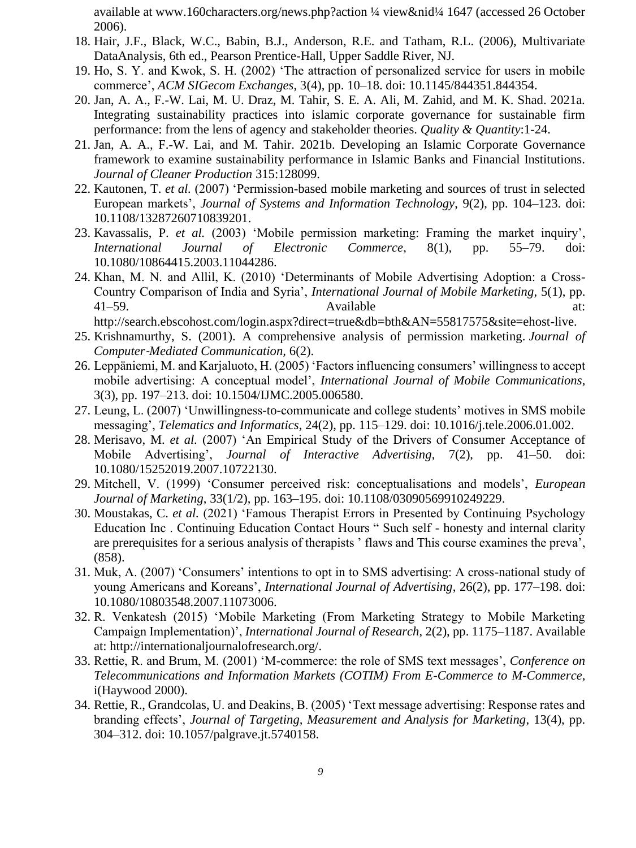available at www.160characters.org/news.php?action ¼ view&nid¼ 1647 (accessed 26 October 2006).

- 18. Hair, J.F., Black, W.C., Babin, B.J., Anderson, R.E. and Tatham, R.L. (2006), Multivariate DataAnalysis, 6th ed., Pearson Prentice-Hall, Upper Saddle River, NJ.
- 19. Ho, S. Y. and Kwok, S. H. (2002) 'The attraction of personalized service for users in mobile commerce', *ACM SIGecom Exchanges*, 3(4), pp. 10–18. doi: 10.1145/844351.844354.
- 20. Jan, A. A., F.-W. Lai, M. U. Draz, M. Tahir, S. E. A. Ali, M. Zahid, and M. K. Shad. 2021a. Integrating sustainability practices into islamic corporate governance for sustainable firm performance: from the lens of agency and stakeholder theories. *Quality & Quantity*:1-24.
- 21. Jan, A. A., F.-W. Lai, and M. Tahir. 2021b. Developing an Islamic Corporate Governance framework to examine sustainability performance in Islamic Banks and Financial Institutions. *Journal of Cleaner Production* 315:128099.
- 22. Kautonen, T. *et al.* (2007) 'Permission-based mobile marketing and sources of trust in selected European markets', *Journal of Systems and Information Technology*, 9(2), pp. 104–123. doi: 10.1108/13287260710839201.
- 23. Kavassalis, P. *et al.* (2003) 'Mobile permission marketing: Framing the market inquiry', *International Journal of Electronic Commerce*, 8(1), pp. 55–79. doi: 10.1080/10864415.2003.11044286.
- 24. Khan, M. N. and Allil, K. (2010) 'Determinants of Mobile Advertising Adoption: a Cross-Country Comparison of India and Syria', *International Journal of Mobile Marketing*, 5(1), pp. 41–59. Available at: http://search.ebscohost.com/login.aspx?direct=true&db=bth&AN=55817575&site=ehost-live.
- 25. Krishnamurthy, S. (2001). A comprehensive analysis of permission marketing. *Journal of Computer*‐*Mediated Communication,* 6(2).
- 26. Leppäniemi, M. and Karjaluoto, H. (2005) 'Factors influencing consumers' willingness to accept mobile advertising: A conceptual model', *International Journal of Mobile Communications*, 3(3), pp. 197–213. doi: 10.1504/IJMC.2005.006580.
- 27. Leung, L. (2007) 'Unwillingness-to-communicate and college students' motives in SMS mobile messaging', *Telematics and Informatics*, 24(2), pp. 115–129. doi: 10.1016/j.tele.2006.01.002.
- 28. Merisavo, M. *et al.* (2007) 'An Empirical Study of the Drivers of Consumer Acceptance of Mobile Advertising', *Journal of Interactive Advertising*, 7(2), pp. 41–50. doi: 10.1080/15252019.2007.10722130.
- 29. Mitchell, V. (1999) 'Consumer perceived risk: conceptualisations and models', *European Journal of Marketing*, 33(1/2), pp. 163–195. doi: 10.1108/03090569910249229.
- 30. Moustakas, C. *et al.* (2021) 'Famous Therapist Errors in Presented by Continuing Psychology Education Inc . Continuing Education Contact Hours " Such self - honesty and internal clarity are prerequisites for a serious analysis of therapists ' flaws and This course examines the preva', (858).
- 31. Muk, A. (2007) 'Consumers' intentions to opt in to SMS advertising: A cross-national study of young Americans and Koreans', *International Journal of Advertising*, 26(2), pp. 177–198. doi: 10.1080/10803548.2007.11073006.
- 32. R. Venkatesh (2015) 'Mobile Marketing (From Marketing Strategy to Mobile Marketing Campaign Implementation)', *International Journal of Research*, 2(2), pp. 1175–1187. Available at: http://internationaljournalofresearch.org/.
- 33. Rettie, R. and Brum, M. (2001) 'M-commerce: the role of SMS text messages', *Conference on Telecommunications and Information Markets (COTIM) From E-Commerce to M-Commerce*, i(Haywood 2000).
- 34. Rettie, R., Grandcolas, U. and Deakins, B. (2005) 'Text message advertising: Response rates and branding effects', *Journal of Targeting, Measurement and Analysis for Marketing*, 13(4), pp. 304–312. doi: 10.1057/palgrave.jt.5740158.